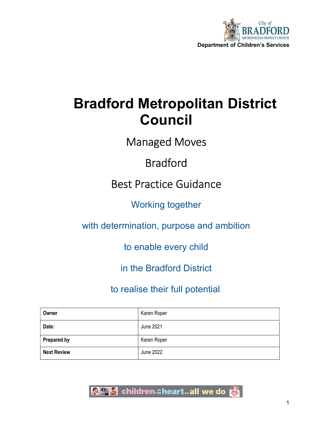

# Bradford Metropolitan District Council

Managed Moves

## Bradford

Best Practice Guidance

Working together

with determination, purpose and ambition

to enable every child

in the Bradford District

to realise their full potential.

| Owner              | Karen Roper |
|--------------------|-------------|
| Date:              | June 2021   |
| <b>Prepared by</b> | Karen Roper |
| <b>Next Review</b> | June 2022   |

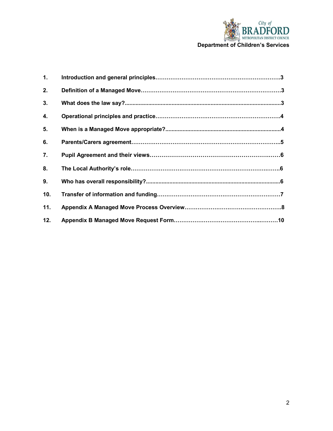

| 1.  |  |
|-----|--|
| 2.  |  |
| 3.  |  |
| 4.  |  |
| 5.  |  |
| 6.  |  |
| 7.  |  |
| 8.  |  |
| 9.  |  |
| 10. |  |
| 11. |  |
| 12. |  |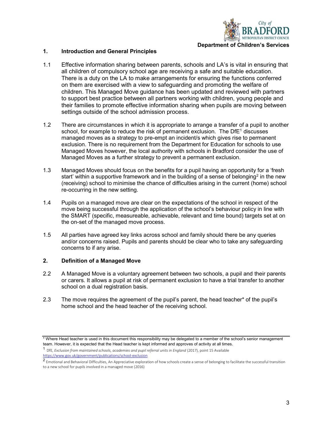

#### 1. Introduction and General Principles

- 1.1 Effective information sharing between parents, schools and LA's is vital in ensuring that all children of compulsory school age are receiving a safe and suitable education. There is a duty on the LA to make arrangements for ensuring the functions conferred on them are exercised with a view to safeguarding and promoting the welfare of children. This Managed Move guidance has been updated and reviewed with partners to support best practice between all partners working with children, young people and their families to promote effective information sharing when pupils are moving between settings outside of the school admission process.
- 1.2 There are circumstances in which it is appropriate to arrange a transfer of a pupil to another school, for example to reduce the risk of permanent exclusion. The DfE<sup>1</sup> discusses managed moves as a strategy to pre-empt an incident/s which gives rise to permanent exclusion. There is no requirement from the Department for Education for schools to use Managed Moves however, the local authority with schools in Bradford consider the use of Managed Moves as a further strategy to prevent a permanent exclusion.
- 1.3 Managed Moves should focus on the benefits for a pupil having an opportunity for a 'fresh start' within a supportive framework and in the building of a sense of belonging<sup>2</sup> in the new (receiving) school to minimise the chance of difficulties arising in the current (home) school re-occurring in the new setting.
- 1.4 Pupils on a managed move are clear on the expectations of the school in respect of the move being successful through the application of the school's behaviour policy in line with the SMART (specific, measureable, achievable, relevant and time bound) targets set at on the on-set of the managed move process.
- 1.5 All parties have agreed key links across school and family should there be any queries and/or concerns raised. Pupils and parents should be clear who to take any safeguarding concerns to if any arise.

#### 2. Definition of a Managed Move

- 2.2 A Managed Move is a voluntary agreement between two schools, a pupil and their parents or carers. It allows a pupil at risk of permanent exclusion to have a trial transfer to another school on a dual registration basis.
- 2.3 The move requires the agreement of the pupil's parent, the head teacher\* of the pupil's home school and the head teacher of the receiving school.

<sup>\*</sup> Where Head teacher is used in this document this responsibility may be delegated to a member of the school's senior management team. However, it is expected that the Head teacher is kept informed and approves of activity at all times.

<sup>1</sup> DfE, Exclusion from maintained schools, academies and pupil referral units in England (2017), point 15 Available https://www.gov.uk/government/publications/school-exclusion

<sup>2</sup>Emotional and Behavioral Difficulties, An Appreciative exploration of how schools create a sense of belonging to facilitate the successful transition to a new school for pupils involved in a managed move (2016)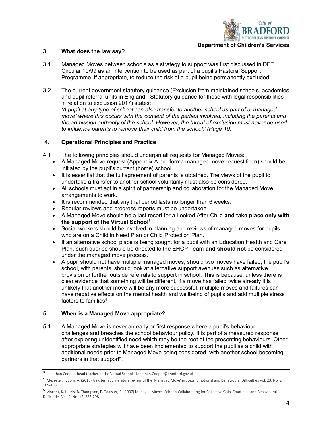

#### 3. What does the law say?

- 3.1 Managed Moves between schools as a strategy to support was first discussed in DFE Circular 10/99 as an intervention to be used as part of a pupil's Pastoral Support Programme, if appropriate, to reduce the risk of a pupil being permanently excluded.
- 3.2 The current government statutory guidance (Exclusion from maintained schools, academies and pupil referral units in England - Statutory guidance for those with legal responsibilities in relation to exclusion 2017) states:

 'A pupil at any type of school can also transfer to another school as part of a 'managed move' where this occurs with the consent of the parties involved, including the parents and the admission authority of the school. However, the threat of exclusion must never be used to influence parents to remove their child from the school.' (Page 10)

#### 4. Operational Principles and Practice

- 4.1 The following principles should underpin all requests for Managed Moves:
	- A Managed Move request (Appendix A pro-forma managed move request form) should be initiated by the pupil's current (home) school.
	- It is essential that the full agreement of parents is obtained. The views of the pupil to undertake a transfer to another school voluntarily must also be considered.
	- All schools must act in a spirit of partnership and collaboration for the Managed Move arrangements to work.
	- It is recommended that any trial period lasts no longer than 6 weeks.
	- Regular reviews and progress reports must be undertaken.
	- A Managed Move should be a last resort for a Looked After Child and take place only with the support of the Virtual School<sup>3</sup>
	- Social workers should be involved in planning and reviews of managed moves for pupils who are on a Child in Need Plan or Child Protection Plan.
	- If an alternative school place is being sought for a pupil with an Education Health and Care Plan, such queries should be directed to the EHCP Team and should not be considered under the managed move process.
	- A pupil should not have multiple managed moves, should two moves have failed, the pupil's school, with parents, should look at alternative support avenues such as alternative provision or further outside referrals to support in school. This is because, unless there is clear evidence that something will be different, if a move has failed twice already it is unlikely that another move will be any more successful; multiple moves and failures can have negative effects on the mental health and wellbeing of pupils and add multiple stress factors to families<sup>4</sup> .

#### 5. When is a Managed Move appropriate?

5.1 A Managed Move is never an early or first response where a pupil's behaviour challenges and breaches the school behaviour policy. It is part of a measured response after exploring unidentified need which may be the root of the presenting behaviours. Other appropriate strategies will have been implemented to support the pupil as a child with additional needs prior to Managed Move being considered, with another school becoming partners in that support<sup>5</sup>.

<sup>3</sup> Jonathan Cooper, head teacher of the Virtual School - Jonathan.Cooper@bradford.gov.uk

<sup>4</sup> Messeter, T. Soni, A. (2018) A systematic literature review of the 'Managed Move' process. Emotional and Behavioural Difficulties Vol. 23, No. 2, 169-185

<sup>5</sup> Vincent, K. Harris, B. Thompson, P. Toalster, R. (2007) Managed Moves: Schools Collaborating for Collective Gain. Emotional and Behavioural Difficulties Vol. 4, No. 12, 283-298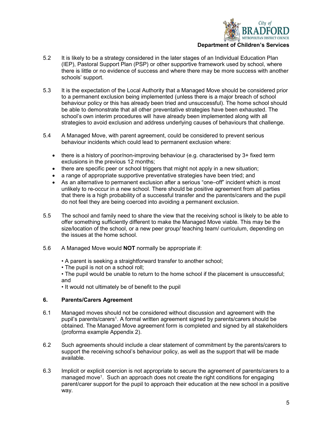

- 5.2 It is likely to be a strategy considered in the later stages of an Individual Education Plan (IEP), Pastoral Support Plan (PSP) or other supportive framework used by school, where there is little or no evidence of success and where there may be more success with another schools' support.
- 5.3 It is the expectation of the Local Authority that a Managed Move should be considered prior to a permanent exclusion being implemented (unless there is a major breach of school behaviour policy or this has already been tried and unsuccessful). The home school should be able to demonstrate that all other preventative strategies have been exhausted. The school's own interim procedures will have already been implemented along with all strategies to avoid exclusion and address underlying causes of behaviours that challenge.
- 5.4 A Managed Move, with parent agreement, could be considered to prevent serious behaviour incidents which could lead to permanent exclusion where:
	- $\bullet$  there is a history of poor/non-improving behaviour (e.g. characterised by 3+ fixed term exclusions in the previous 12 months;
	- $\bullet$  there are specific peer or school triggers that might not apply in a new situation;
	- a range of appropriate supportive preventative strategies have been tried; and
	- As an alternative to permanent exclusion after a serious "one–off" incident which is most unlikely to re-occur in a new school. There should be positive agreement from all parties that there is a high probability of a successful transfer and the parents/carers and the pupil do not feel they are being coerced into avoiding a permanent exclusion.
- 5.5 The school and family need to share the view that the receiving school is likely to be able to offer something sufficiently different to make the Managed Move viable. This may be the size/location of the school, or a new peer group/ teaching team/ curriculum, depending on the issues at the home school.
- 5.6 A Managed Move would **NOT** normally be appropriate if:
	- A parent is seeking a straightforward transfer to another school;
	- The pupil is not on a school roll;
	- The pupil would be unable to return to the home school if the placement is unsuccessful; and

• It would not ultimately be of benefit to the pupil

#### 6. Parents/Carers Agreement

- 6.1 Managed moves should not be considered without discussion and agreement with the pupil's parents/carers<sup>1</sup> . A formal written agreement signed by parents/carers should be obtained. The Managed Move agreement form is completed and signed by all stakeholders (proforma example Appendix 2).
- 6.2 Such agreements should include a clear statement of commitment by the parents/carers to support the receiving school's behaviour policy, as well as the support that will be made available.
- 6.3 Implicit or explicit coercion is not appropriate to secure the agreement of parents/carers to a managed move<sup>1</sup>. Such an approach does not create the right conditions for engaging parent/carer support for the pupil to approach their education at the new school in a positive way.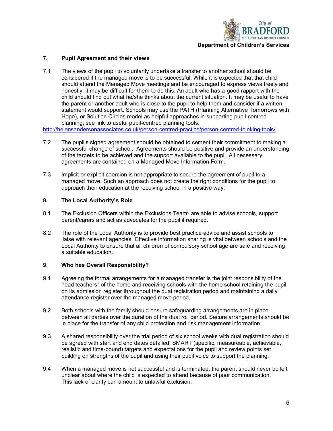

#### 7. Pupil Agreement and their views

7.1 The views of the pupil to voluntarily undertake a transfer to another school should be considered if the managed move is to be successful. While it is expected that that child should attend the Managed Move meetings and be encouraged to express views freely and honestly, it may be difficult for them to do this. An adult who has a good rapport with the child should find out what he/she thinks about the current situation. It may be useful to have the parent or another adult who is close to the pupil to help them and consider if a written statement would support. Schools may use the PATH (Planning Alternative Tomorrows with Hope), or Solution Circles model as helpful approaches in supporting pupil-centred planning; see link to useful pupil-centred planning tools.

http://helensandersonassociates.co.uk/person-centred-practice/person-centred-thinking-tools/

- 7.2 The pupil's signed agreement should be obtained to cement their commitment to making a successful change of school. Agreements should be positive and provide an understanding of the targets to be achieved and the support available to the pupil. All necessary agreements are contained on a Managed Move Information Form.
- 7.3 Implicit or explicit coercion is not appropriate to secure the agreement of pupil to a managed move. Such an approach does not create the right conditions for the pupil to approach their education at the receiving school in a positive way.

#### 8. The Local Authority's Role

- 8.1 The Exclusion Officers within the Exclusions Team $^6$  are able to advise schools, support parent/carers and act as advocates for the pupil if required.
- 8.2 The role of the Local Authority is to provide best practice advice and assist schools to liaise with relevant agencies. Effective information sharing is vital between schools and the Local Authority to ensure that all children of compulsory school age are safe and receiving a suitable education.

#### 9. Who has Overall Responsibility?

- 9.1 Agreeing the formal arrangements for a managed transfer is the joint responsibility of the head teachers\* of the home and receiving schools with the home school retaining the pupil on its admission register throughout the dual registration period and maintaining a daily attendance register over the managed move period.
- 9.2 Both schools with the family should ensure safeguarding arrangements are in place between all parties over the duration of the dual roll period. Secure arrangements should be in place for the transfer of any child protection and risk management information.
- 9.3 A shared responsibility over the trial period of six school weeks with dual registration should be agreed with start and end dates detailed, SMART (specific, measureable, achievable, realistic and time-bound) targets and expectations for the pupil and review points set building on strengths of the pupil and using their pupil voice to support the planning.
- 9.4 When a managed move is not successful and is terminated, the parent should never be left unclear about where the child is expected to attend because of poor communication. This lack of clarity can amount to unlawful exclusion.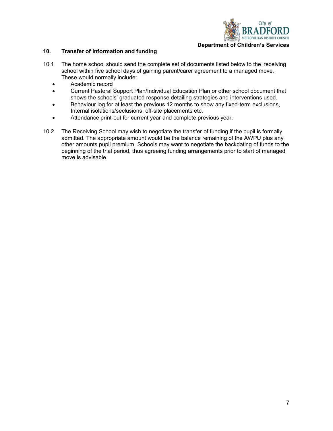

#### 10. Transfer of Information and funding

- 10.1 The home school should send the complete set of documents listed below to the receiving school within five school days of gaining parent/carer agreement to a managed move. These would normally include:
	- Academic record
	- Current Pastoral Support Plan/Individual Education Plan or other school document that shows the schools' graduated response detailing strategies and interventions used.
	- Behaviour log for at least the previous 12 months to show any fixed-term exclusions, Internal isolations/seclusions, off-site placements etc.
	- Attendance print-out for current year and complete previous year.
- 10.2 The Receiving School may wish to negotiate the transfer of funding if the pupil is formally admitted. The appropriate amount would be the balance remaining of the AWPU plus any other amounts pupil premium. Schools may want to negotiate the backdating of funds to the beginning of the trial period, thus agreeing funding arrangements prior to start of managed move is advisable.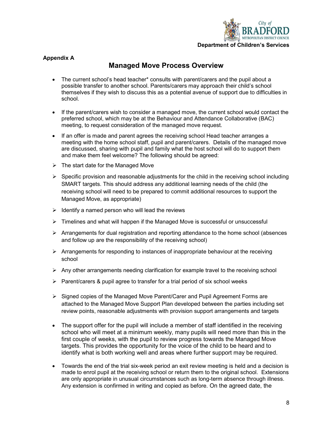

#### Appendix A

## Managed Move Process Overview

- The current school's head teacher\* consults with parent/carers and the pupil about a possible transfer to another school. Parents/carers may approach their child's school themselves if they wish to discuss this as a potential avenue of support due to difficulties in school.
- If the parent/carers wish to consider a managed move, the current school would contact the preferred school, which may be at the Behaviour and Attendance Collaborative (BAC) meeting, to request consideration of the managed move request.
- If an offer is made and parent agrees the receiving school Head teacher arranges a meeting with the home school staff, pupil and parent/carers. Details of the managed move are discussed, sharing with pupil and family what the host school will do to support them and make them feel welcome? The following should be agreed:
- $\triangleright$  The start date for the Managed Move
- $\triangleright$  Specific provision and reasonable adjustments for the child in the receiving school including SMART targets. This should address any additional learning needs of the child (the receiving school will need to be prepared to commit additional resources to support the Managed Move, as appropriate)
- $\triangleright$  Identify a named person who will lead the reviews
- Fimelines and what will happen if the Managed Move is successful or unsuccessful
- $\triangleright$  Arrangements for dual registration and reporting attendance to the home school (absences and follow up are the responsibility of the receiving school)
- $\triangleright$  Arrangements for responding to instances of inappropriate behaviour at the receiving school
- $\triangleright$  Any other arrangements needing clarification for example travel to the receiving school
- $\triangleright$  Parent/carers & pupil agree to transfer for a trial period of six school weeks
- Signed copies of the Managed Move Parent/Carer and Pupil Agreement Forms are attached to the Managed Move Support Plan developed between the parties including set review points, reasonable adjustments with provision support arrangements and targets
- The support offer for the pupil will include a member of staff identified in the receiving school who will meet at a minimum weekly, many pupils will need more than this in the first couple of weeks, with the pupil to review progress towards the Managed Move targets. This provides the opportunity for the voice of the child to be heard and to identify what is both working well and areas where further support may be required.
- Towards the end of the trial six-week period an exit review meeting is held and a decision is made to enrol pupil at the receiving school or return them to the original school. Extensions are only appropriate in unusual circumstances such as long-term absence through illness. Any extension is confirmed in writing and copied as before. On the agreed date, the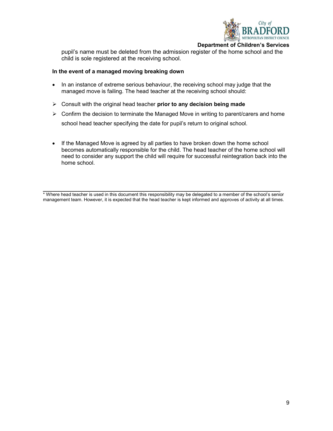

Department of Children's Services

pupil's name must be deleted from the admission register of the home school and the child is sole registered at the receiving school.

#### In the event of a managed moving breaking down

- In an instance of extreme serious behaviour, the receiving school may judge that the managed move is failing. The head teacher at the receiving school should:
- $\triangleright$  Consult with the original head teacher prior to any decision being made
- $\triangleright$  Confirm the decision to terminate the Managed Move in writing to parent/carers and home school head teacher specifying the date for pupil's return to original school.
- If the Managed Move is agreed by all parties to have broken down the home school becomes automatically responsible for the child. The head teacher of the home school will need to consider any support the child will require for successful reintegration back into the home school.

 $\_$  ,  $\_$  ,  $\_$  ,  $\_$  ,  $\_$  ,  $\_$  ,  $\_$  ,  $\_$  ,  $\_$  ,  $\_$  ,  $\_$  ,  $\_$  ,  $\_$  ,  $\_$  ,  $\_$  ,  $\_$  ,  $\_$  ,  $\_$  ,  $\_$  ,  $\_$ \* Where head teacher is used in this document this responsibility may be delegated to a member of the school's senior management team. However, it is expected that the head teacher is kept informed and approves of activity at all times.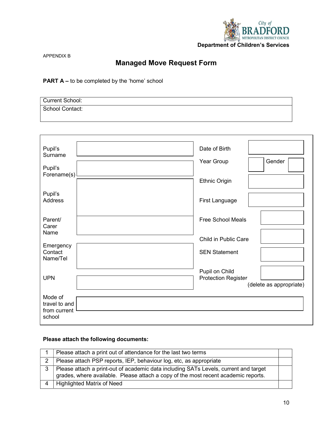

APPENDIX B

## Managed Move Request Form

#### PART A – to be completed by the 'home' school

| <b>Current School:</b> |  |
|------------------------|--|
| <b>School Contact:</b> |  |
|                        |  |

| Pupil's<br>Surname                       | Date of Birth                                |
|------------------------------------------|----------------------------------------------|
| Pupil's                                  | Year Group<br>Gender                         |
| Forename(s)                              |                                              |
|                                          | <b>Ethnic Origin</b>                         |
| Pupil's<br>Address                       | First Language                               |
| Parent/<br>Carer<br>Name                 | <b>Free School Meals</b>                     |
|                                          | Child in Public Care                         |
| Emergency<br>Contact<br>Name/Tel         | <b>SEN Statement</b>                         |
| <b>UPN</b>                               | Pupil on Child<br><b>Protection Register</b> |
|                                          | (delete as appropriate)                      |
| Mode of<br>travel to and<br>from current |                                              |
| school                                   |                                              |

### Please attach the following documents:

|   | Please attach a print out of attendance for the last two terms                                                                                                             |  |
|---|----------------------------------------------------------------------------------------------------------------------------------------------------------------------------|--|
|   | Please attach PSP reports, IEP, behaviour log, etc, as appropriate                                                                                                         |  |
| 3 | Please attach a print-out of academic data including SATs Levels, current and target<br>grades, where available. Please attach a copy of the most recent academic reports. |  |
|   | <b>Highlighted Matrix of Need</b>                                                                                                                                          |  |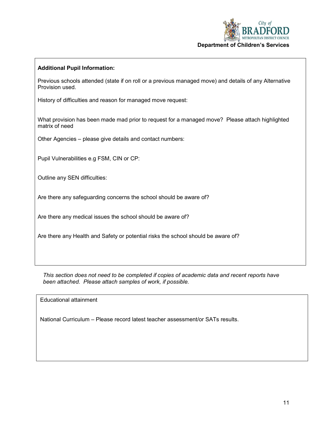

#### Additional Pupil Information:

Previous schools attended (state if on roll or a previous managed move) and details of any Alternative Provision used.

History of difficulties and reason for managed move request:

What provision has been made mad prior to request for a managed move? Please attach highlighted matrix of need

Other Agencies – please give details and contact numbers:

Pupil Vulnerabilities e.g FSM, CIN or CP:

Outline any SEN difficulties:

Are there any safeguarding concerns the school should be aware of?

Are there any medical issues the school should be aware of?

Are there any Health and Safety or potential risks the school should be aware of?

This section does not need to be completed if copies of academic data and recent reports have been attached. Please attach samples of work, if possible.

Educational attainment

National Curriculum – Please record latest teacher assessment/or SATs results.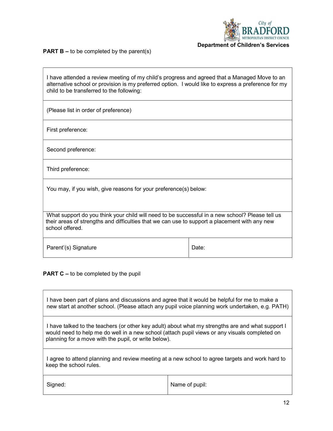

**PART B –** to be completed by the parent(s)

| I have attended a review meeting of my child's progress and agreed that a Managed Move to an<br>alternative school or provision is my preferred option. I would like to express a preference for my<br>child to be transferred to the following: |       |  |
|--------------------------------------------------------------------------------------------------------------------------------------------------------------------------------------------------------------------------------------------------|-------|--|
| (Please list in order of preference)                                                                                                                                                                                                             |       |  |
| First preference:                                                                                                                                                                                                                                |       |  |
| Second preference:                                                                                                                                                                                                                               |       |  |
| Third preference:                                                                                                                                                                                                                                |       |  |
| You may, if you wish, give reasons for your preference(s) below:                                                                                                                                                                                 |       |  |
| What support do you think your child will need to be successful in a new school? Please tell us<br>their areas of strengths and difficulties that we can use to support a placement with any new<br>school offered.                              |       |  |
| Parent'(s) Signature                                                                                                                                                                                                                             | Date: |  |

**PART C** – to be completed by the pupil

| I have been part of plans and discussions and agree that it would be helpful for me to make a<br>new start at another school. (Please attach any pupil voice planning work undertaken, e.g. PATH)                                                          |                |  |
|------------------------------------------------------------------------------------------------------------------------------------------------------------------------------------------------------------------------------------------------------------|----------------|--|
| I have talked to the teachers (or other key adult) about what my strengths are and what support I<br>would need to help me do well in a new school (attach pupil views or any visuals completed on<br>planning for a move with the pupil, or write below). |                |  |
| agree to attend planning and review meeting at a new school to agree targets and work hard to<br>keep the school rules.                                                                                                                                    |                |  |
| Signed:                                                                                                                                                                                                                                                    | Name of pupil: |  |